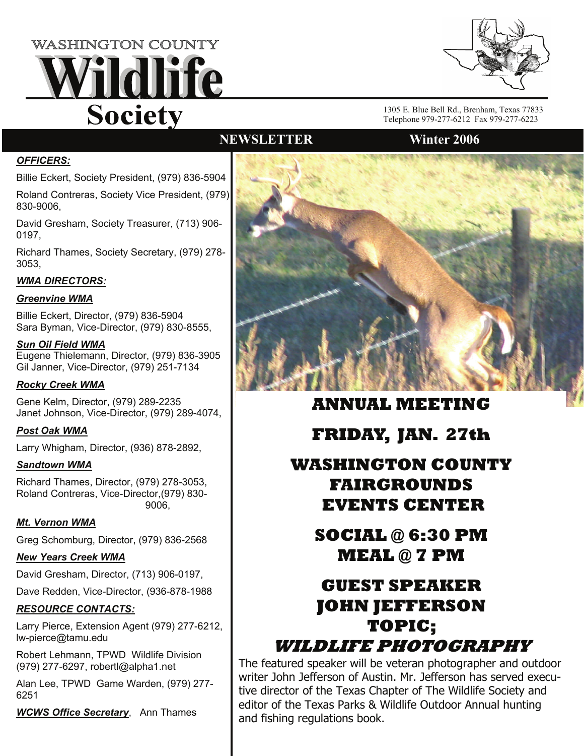



1305 E. Blue Bell Rd., Brenham, Texas 77833 Telephone 979-277-6212 Fax 979-277-6223

### *OFFICERS:*

Billie Eckert, Society President, (979) 836-5904

Roland Contreras, Society Vice President, (979) 830-9006,

David Gresham, Society Treasurer, (713) 906- 0197,

Richard Thames, Society Secretary, (979) 278- 3053,

### *WMA DIRECTORS:*

### *Greenvine WMA*

Billie Eckert, Director, (979) 836-5904 Sara Byman, Vice-Director, (979) 830-8555,

*Sun Oil Field WMA* Eugene Thielemann, Director, (979) 836-3905 Gil Janner, Vice-Director, (979) 251-7134

### *Rocky Creek WMA*

Gene Kelm, Director, (979) 289-2235 Janet Johnson, Vice-Director, (979) 289-4074,

#### *Post Oak WMA*

Larry Whigham, Director, (936) 878-2892,

#### *Sandtown WMA*

Richard Thames, Director, (979) 278-3053, Roland Contreras, Vice-Director,(979) 830- 9006,

### *Mt. Vernon WMA*

Greg Schomburg, Director, (979) 836-2568

### *New Years Creek WMA*

David Gresham, Director, (713) 906-0197,

Dave Redden, Vice-Director, (936-878-1988

### *RESOURCE CONTACTS:*

Larry Pierce, Extension Agent (979) 277-6212, lw-pierce@tamu.edu

Robert Lehmann, TPWD Wildlife Division (979) 277-6297, robertl@alpha1.net

Alan Lee, TPWD Game Warden, (979) 277- 6251

*WCWS Office Secretary*, Ann Thames



**ANNUAL MEETING** 

**FRIDAY, JAN. 27th** 

# **WASHINGTON COUNTY FAIRGROUNDS EVENTS CENTER**

# **SOCIAL @ 6:30 PM MEAL @ 7 PM**

# **GUEST SPEAKER JOHN JEFFERSON TOPIC;**

## **WILDLIFE PHOTOGRAPHY**

The featured speaker will be veteran photographer and outdoor writer John Jefferson of Austin. Mr. Jefferson has served executive director of the Texas Chapter of The Wildlife Society and editor of the Texas Parks & Wildlife Outdoor Annual hunting and fishing regulations book.